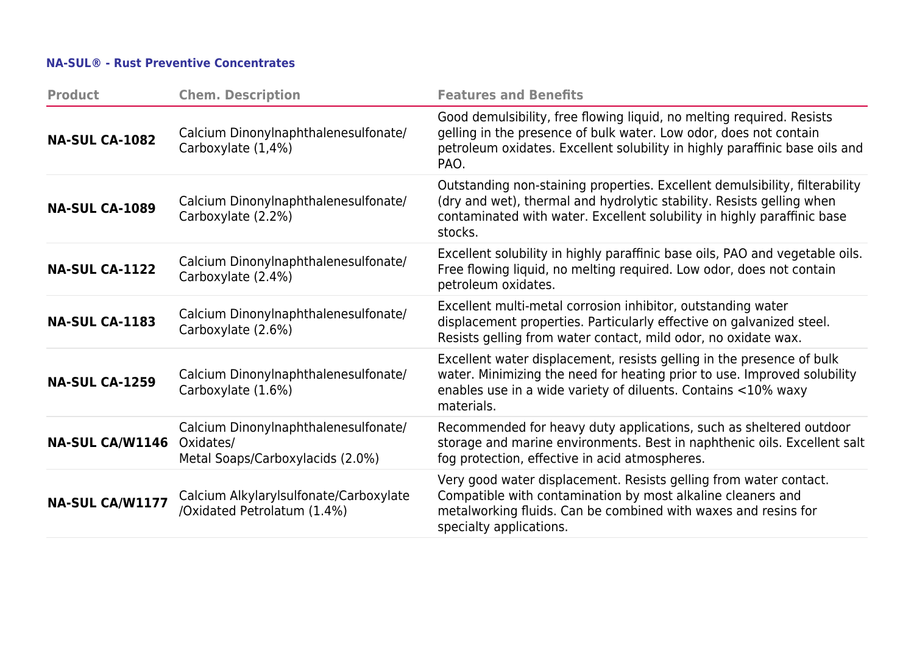## **NA-SUL® - Rust Preventive Concentrates**

| <b>Product</b>         | <b>Chem. Description</b>                                                              | <b>Features and Benefits</b>                                                                                                                                                                                                               |
|------------------------|---------------------------------------------------------------------------------------|--------------------------------------------------------------------------------------------------------------------------------------------------------------------------------------------------------------------------------------------|
| <b>NA-SUL CA-1082</b>  | Calcium Dinonylnaphthalenesulfonate/<br>Carboxylate (1,4%)                            | Good demulsibility, free flowing liquid, no melting required. Resists<br>gelling in the presence of bulk water. Low odor, does not contain<br>petroleum oxidates. Excellent solubility in highly paraffinic base oils and<br>PAO.          |
| <b>NA-SUL CA-1089</b>  | Calcium Dinonylnaphthalenesulfonate/<br>Carboxylate (2.2%)                            | Outstanding non-staining properties. Excellent demulsibility, filterability<br>(dry and wet), thermal and hydrolytic stability. Resists gelling when<br>contaminated with water. Excellent solubility in highly paraffinic base<br>stocks. |
| <b>NA-SUL CA-1122</b>  | Calcium Dinonylnaphthalenesulfonate/<br>Carboxylate (2.4%)                            | Excellent solubility in highly paraffinic base oils, PAO and vegetable oils.<br>Free flowing liquid, no melting required. Low odor, does not contain<br>petroleum oxidates.                                                                |
| <b>NA-SUL CA-1183</b>  | Calcium Dinonylnaphthalenesulfonate/<br>Carboxylate (2.6%)                            | Excellent multi-metal corrosion inhibitor, outstanding water<br>displacement properties. Particularly effective on galvanized steel.<br>Resists gelling from water contact, mild odor, no oxidate wax.                                     |
| <b>NA-SUL CA-1259</b>  | Calcium Dinonylnaphthalenesulfonate/<br>Carboxylate (1.6%)                            | Excellent water displacement, resists gelling in the presence of bulk<br>water. Minimizing the need for heating prior to use. Improved solubility<br>enables use in a wide variety of diluents. Contains <10% waxy<br>materials.           |
| <b>NA-SUL CA/W1146</b> | Calcium Dinonylnaphthalenesulfonate/<br>Oxidates/<br>Metal Soaps/Carboxylacids (2.0%) | Recommended for heavy duty applications, such as sheltered outdoor<br>storage and marine environments. Best in naphthenic oils. Excellent salt<br>fog protection, effective in acid atmospheres.                                           |
| NA-SUL CA/W1177        | Calcium Alkylarylsulfonate/Carboxylate<br>/Oxidated Petrolatum (1.4%)                 | Very good water displacement. Resists gelling from water contact.<br>Compatible with contamination by most alkaline cleaners and<br>metalworking fluids. Can be combined with waxes and resins for<br>specialty applications.              |